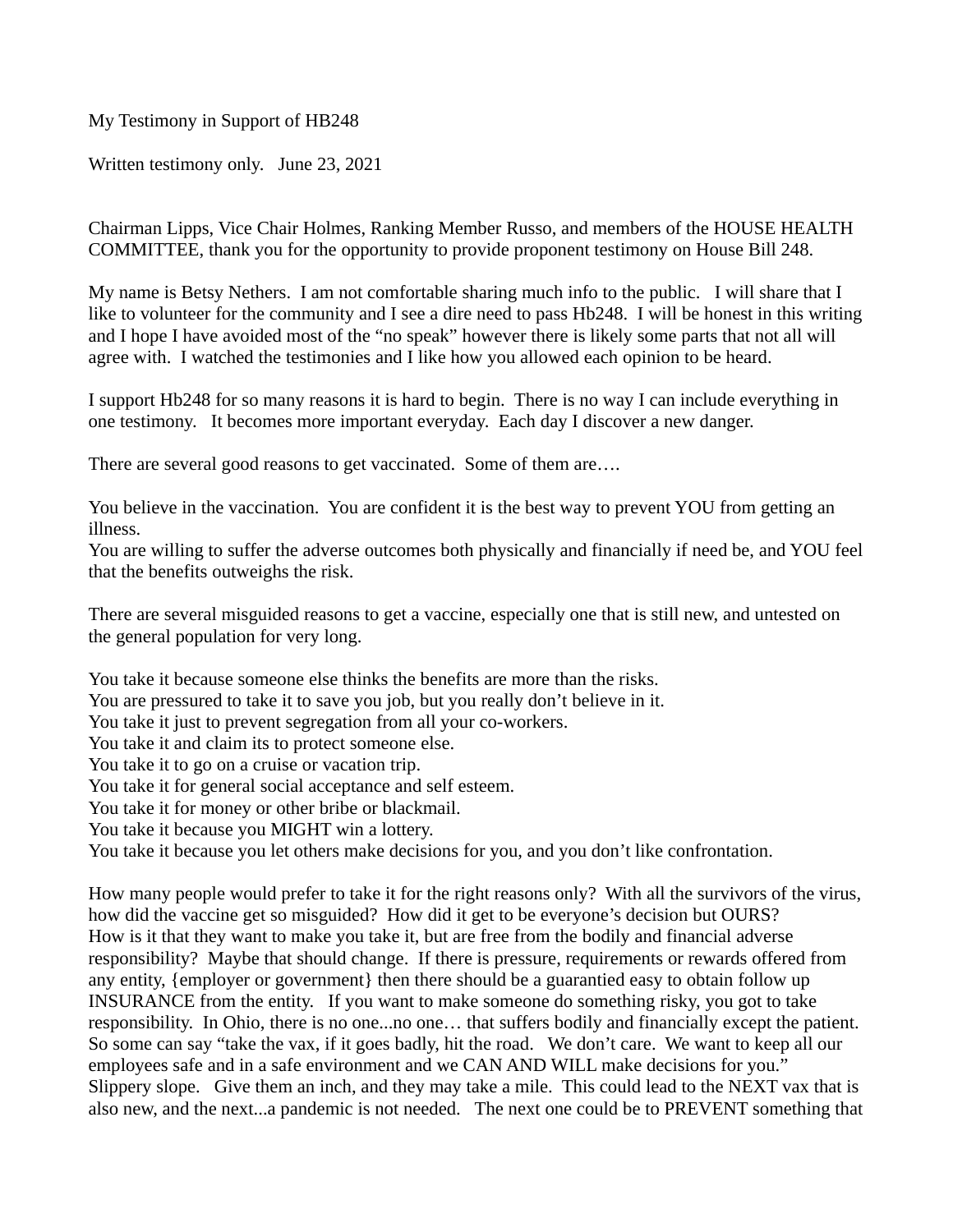Written testimony only. June 23, 2021

Chairman Lipps, Vice Chair Holmes, Ranking Member Russo, and members of the HOUSE HEALTH COMMITTEE, thank you for the opportunity to provide proponent testimony on House Bill 248.

My name is Betsy Nethers. I am not comfortable sharing much info to the public. I will share that I like to volunteer for the community and I see a dire need to pass Hb248. I will be honest in this writing and I hope I have avoided most of the "no speak" however there is likely some parts that not all will agree with. I watched the testimonies and I like how you allowed each opinion to be heard.

I support Hb248 for so many reasons it is hard to begin. There is no way I can include everything in one testimony. It becomes more important everyday. Each day I discover a new danger.

There are several good reasons to get vaccinated. Some of them are….

You believe in the vaccination. You are confident it is the best way to prevent YOU from getting an illness.

You are willing to suffer the adverse outcomes both physically and financially if need be, and YOU feel that the benefits outweighs the risk.

There are several misguided reasons to get a vaccine, especially one that is still new, and untested on the general population for very long.

You take it because someone else thinks the benefits are more than the risks. You are pressured to take it to save you job, but you really don't believe in it. You take it just to prevent segregation from all your co-workers. You take it and claim its to protect someone else. You take it to go on a cruise or vacation trip. You take it for general social acceptance and self esteem. You take it for money or other bribe or blackmail. You take it because you MIGHT win a lottery. You take it because you let others make decisions for you, and you don't like confrontation.

How many people would prefer to take it for the right reasons only? With all the survivors of the virus, how did the vaccine get so misguided? How did it get to be everyone's decision but OURS? How is it that they want to make you take it, but are free from the bodily and financial adverse responsibility? Maybe that should change. If there is pressure, requirements or rewards offered from any entity, {employer or government} then there should be a guarantied easy to obtain follow up INSURANCE from the entity. If you want to make someone do something risky, you got to take responsibility. In Ohio, there is no one...no one… that suffers bodily and financially except the patient. So some can say "take the vax, if it goes badly, hit the road. We don't care. We want to keep all our employees safe and in a safe environment and we CAN AND WILL make decisions for you." Slippery slope. Give them an inch, and they may take a mile. This could lead to the NEXT vax that is also new, and the next...a pandemic is not needed. The next one could be to PREVENT something that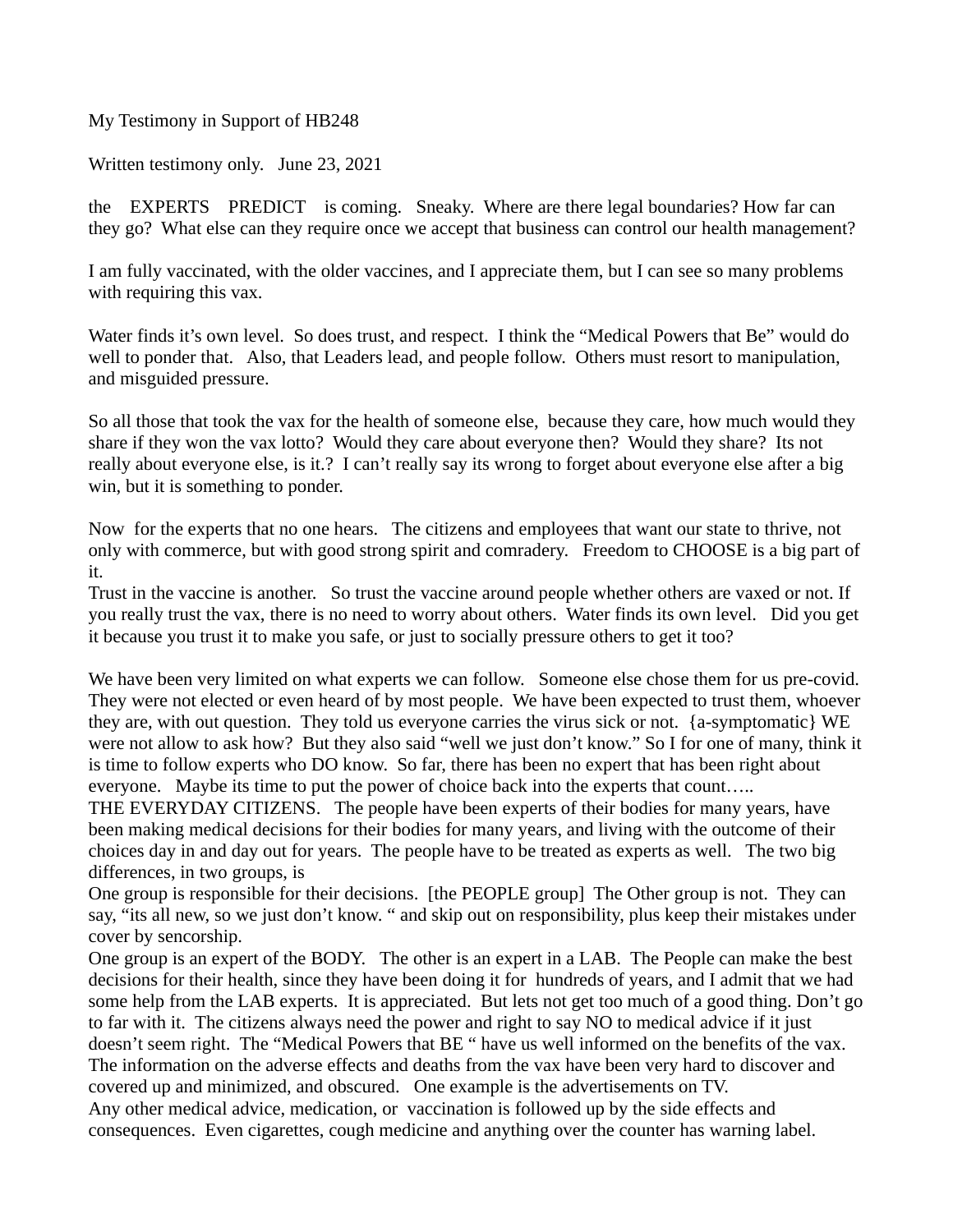Written testimony only. June 23, 2021

the EXPERTS PREDICT is coming. Sneaky. Where are there legal boundaries? How far can they go? What else can they require once we accept that business can control our health management?

I am fully vaccinated, with the older vaccines, and I appreciate them, but I can see so many problems with requiring this vax.

Water finds it's own level. So does trust, and respect. I think the "Medical Powers that Be" would do well to ponder that. Also, that Leaders lead, and people follow. Others must resort to manipulation, and misguided pressure.

So all those that took the vax for the health of someone else, because they care, how much would they share if they won the vax lotto? Would they care about everyone then? Would they share? Its not really about everyone else, is it.? I can't really say its wrong to forget about everyone else after a big win, but it is something to ponder.

Now for the experts that no one hears. The citizens and employees that want our state to thrive, not only with commerce, but with good strong spirit and comradery. Freedom to CHOOSE is a big part of it.

Trust in the vaccine is another. So trust the vaccine around people whether others are vaxed or not. If you really trust the vax, there is no need to worry about others. Water finds its own level. Did you get it because you trust it to make you safe, or just to socially pressure others to get it too?

We have been very limited on what experts we can follow. Someone else chose them for us pre-covid. They were not elected or even heard of by most people. We have been expected to trust them, whoever they are, with out question. They told us everyone carries the virus sick or not. {a-symptomatic} WE were not allow to ask how? But they also said "well we just don't know." So I for one of many, think it is time to follow experts who DO know. So far, there has been no expert that has been right about everyone. Maybe its time to put the power of choice back into the experts that count…..

THE EVERYDAY CITIZENS. The people have been experts of their bodies for many years, have been making medical decisions for their bodies for many years, and living with the outcome of their choices day in and day out for years. The people have to be treated as experts as well. The two big differences, in two groups, is

One group is responsible for their decisions. [the PEOPLE group] The Other group is not. They can say, "its all new, so we just don't know. " and skip out on responsibility, plus keep their mistakes under cover by sencorship.

One group is an expert of the BODY. The other is an expert in a LAB. The People can make the best decisions for their health, since they have been doing it for hundreds of years, and I admit that we had some help from the LAB experts. It is appreciated. But lets not get too much of a good thing. Don't go to far with it. The citizens always need the power and right to say NO to medical advice if it just doesn't seem right. The "Medical Powers that BE " have us well informed on the benefits of the vax. The information on the adverse effects and deaths from the vax have been very hard to discover and covered up and minimized, and obscured. One example is the advertisements on TV. Any other medical advice, medication, or vaccination is followed up by the side effects and consequences. Even cigarettes, cough medicine and anything over the counter has warning label.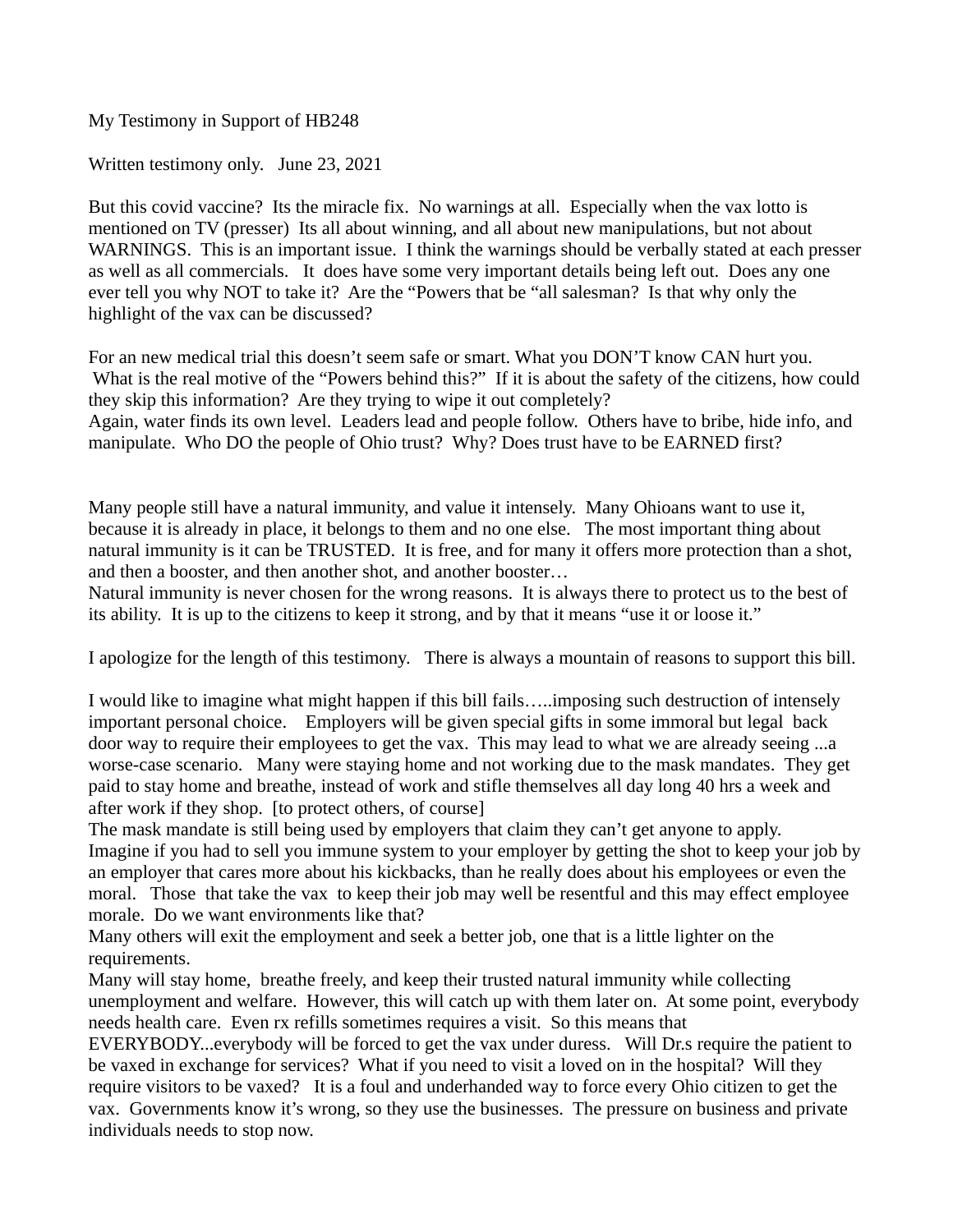Written testimony only. June 23, 2021

But this covid vaccine? Its the miracle fix. No warnings at all. Especially when the vax lotto is mentioned on TV (presser) Its all about winning, and all about new manipulations, but not about WARNINGS. This is an important issue. I think the warnings should be verbally stated at each presser as well as all commercials. It does have some very important details being left out. Does any one ever tell you why NOT to take it? Are the "Powers that be "all salesman? Is that why only the highlight of the vax can be discussed?

For an new medical trial this doesn't seem safe or smart. What you DON'T know CAN hurt you. What is the real motive of the "Powers behind this?" If it is about the safety of the citizens, how could they skip this information? Are they trying to wipe it out completely? Again, water finds its own level. Leaders lead and people follow. Others have to bribe, hide info, and manipulate. Who DO the people of Ohio trust? Why? Does trust have to be EARNED first?

Many people still have a natural immunity, and value it intensely. Many Ohioans want to use it, because it is already in place, it belongs to them and no one else. The most important thing about natural immunity is it can be TRUSTED. It is free, and for many it offers more protection than a shot, and then a booster, and then another shot, and another booster…

Natural immunity is never chosen for the wrong reasons. It is always there to protect us to the best of its ability. It is up to the citizens to keep it strong, and by that it means "use it or loose it."

I apologize for the length of this testimony. There is always a mountain of reasons to support this bill.

I would like to imagine what might happen if this bill fails…..imposing such destruction of intensely important personal choice. Employers will be given special gifts in some immoral but legal back door way to require their employees to get the vax. This may lead to what we are already seeing ...a worse-case scenario. Many were staying home and not working due to the mask mandates. They get paid to stay home and breathe, instead of work and stifle themselves all day long 40 hrs a week and after work if they shop. [to protect others, of course]

The mask mandate is still being used by employers that claim they can't get anyone to apply. Imagine if you had to sell you immune system to your employer by getting the shot to keep your job by an employer that cares more about his kickbacks, than he really does about his employees or even the moral. Those that take the vax to keep their job may well be resentful and this may effect employee morale. Do we want environments like that?

Many others will exit the employment and seek a better job, one that is a little lighter on the requirements.

Many will stay home, breathe freely, and keep their trusted natural immunity while collecting unemployment and welfare. However, this will catch up with them later on. At some point, everybody needs health care. Even rx refills sometimes requires a visit. So this means that

EVERYBODY...everybody will be forced to get the vax under duress. Will Dr.s require the patient to be vaxed in exchange for services? What if you need to visit a loved on in the hospital? Will they require visitors to be vaxed? It is a foul and underhanded way to force every Ohio citizen to get the vax. Governments know it's wrong, so they use the businesses. The pressure on business and private individuals needs to stop now.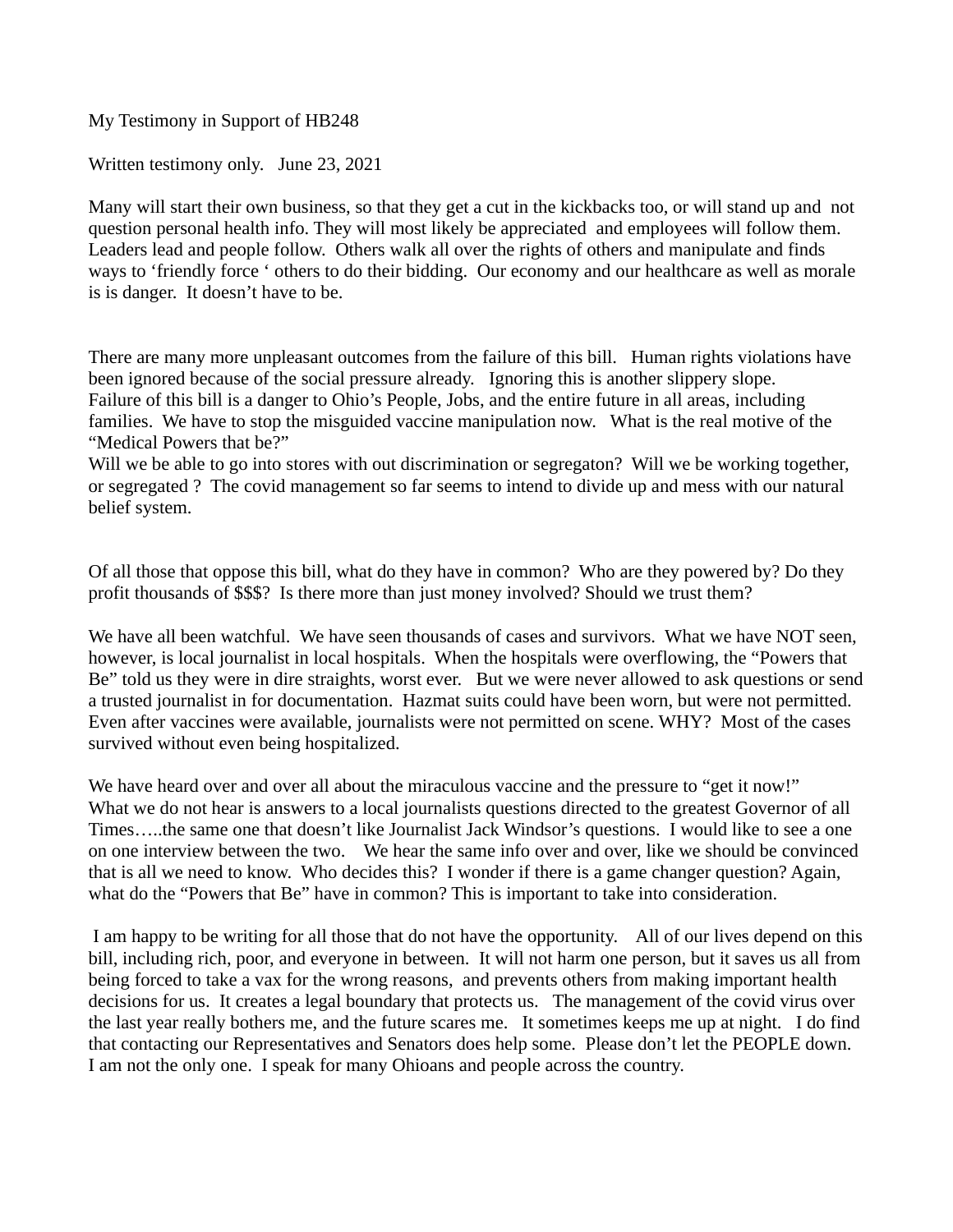Written testimony only. June 23, 2021

Many will start their own business, so that they get a cut in the kickbacks too, or will stand up and not question personal health info. They will most likely be appreciated and employees will follow them. Leaders lead and people follow. Others walk all over the rights of others and manipulate and finds ways to 'friendly force ' others to do their bidding. Our economy and our healthcare as well as morale is is danger. It doesn't have to be.

There are many more unpleasant outcomes from the failure of this bill. Human rights violations have been ignored because of the social pressure already. Ignoring this is another slippery slope. Failure of this bill is a danger to Ohio's People, Jobs, and the entire future in all areas, including families. We have to stop the misguided vaccine manipulation now. What is the real motive of the "Medical Powers that be?"

Will we be able to go into stores with out discrimination or segregaton? Will we be working together, or segregated ? The covid management so far seems to intend to divide up and mess with our natural belief system.

Of all those that oppose this bill, what do they have in common? Who are they powered by? Do they profit thousands of \$\$\$? Is there more than just money involved? Should we trust them?

We have all been watchful. We have seen thousands of cases and survivors. What we have NOT seen, however, is local journalist in local hospitals. When the hospitals were overflowing, the "Powers that Be" told us they were in dire straights, worst ever. But we were never allowed to ask questions or send a trusted journalist in for documentation. Hazmat suits could have been worn, but were not permitted. Even after vaccines were available, journalists were not permitted on scene. WHY? Most of the cases survived without even being hospitalized.

We have heard over and over all about the miraculous vaccine and the pressure to "get it now!" What we do not hear is answers to a local journalists questions directed to the greatest Governor of all Times…..the same one that doesn't like Journalist Jack Windsor's questions. I would like to see a one on one interview between the two. We hear the same info over and over, like we should be convinced that is all we need to know. Who decides this? I wonder if there is a game changer question? Again, what do the "Powers that Be" have in common? This is important to take into consideration.

 I am happy to be writing for all those that do not have the opportunity. All of our lives depend on this bill, including rich, poor, and everyone in between. It will not harm one person, but it saves us all from being forced to take a vax for the wrong reasons, and prevents others from making important health decisions for us. It creates a legal boundary that protects us. The management of the covid virus over the last year really bothers me, and the future scares me. It sometimes keeps me up at night. I do find that contacting our Representatives and Senators does help some. Please don't let the PEOPLE down. I am not the only one. I speak for many Ohioans and people across the country.